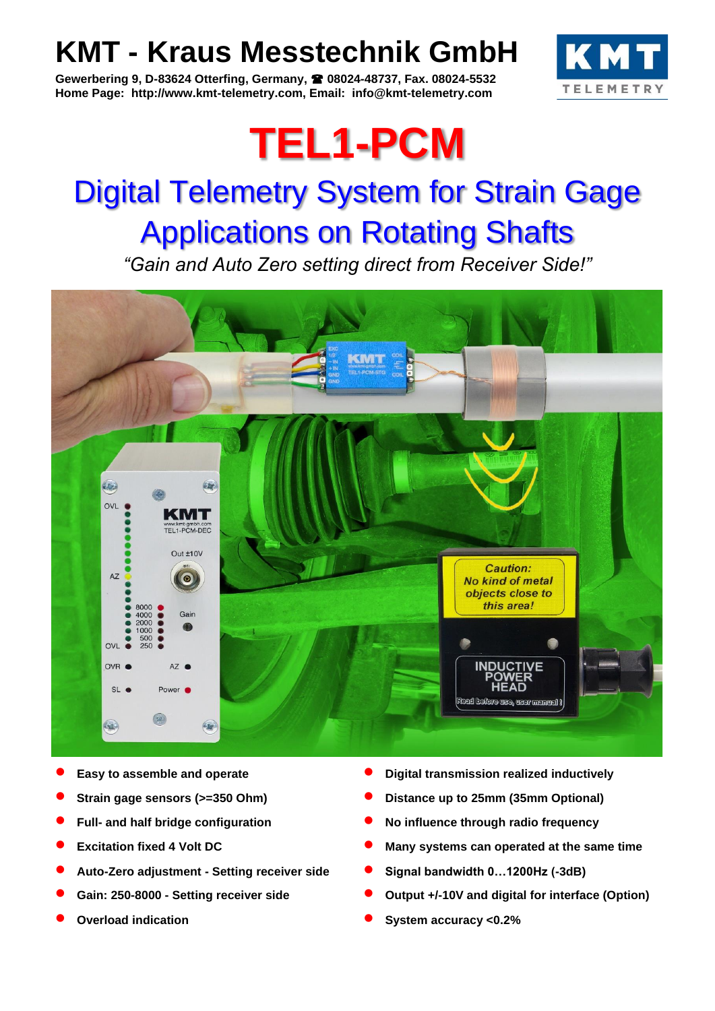### **KMT - Kraus Messtechnik GmbH**

**Gewerbering 9, D-83624 Otterfing, Germany, 08024-48737, Fax. 08024-5532 Home Page: http://www.kmt-telemetry.com, Email: info@kmt-telemetry.com**



# **TEL1-PCM**

## Digital Telemetry System for Strain Gage Applications on Rotating Shafts

*"Gain and Auto Zero setting direct from Receiver Side!"*



- 
- 
- 
- 
- **Auto-Zero adjustment - Setting receiver side Signal bandwidth 0…1200Hz (-3dB)**
- 
- 
- **Easy to assemble and operate Digital transmission realized inductively**
- **Strain gage sensors (>=350 Ohm) Distance up to 25mm (35mm Optional)**
- **Full- and half bridge configuration No influence through radio frequency**
- **Excitation fixed 4 Volt DC Many systems can operated at the same time**
	-
- **Gain: 250-8000 - Setting receiver side Output +/-10V and digital for interface (Option)**
- **Overload indication System accuracy <0.2%**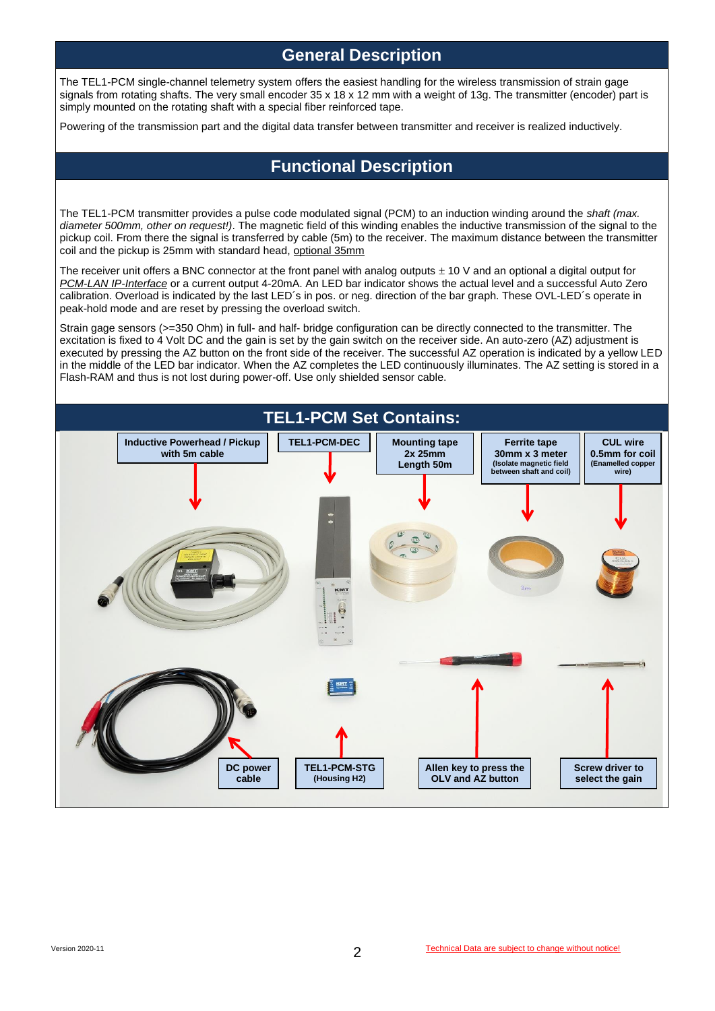#### **General Description**

The TEL1-PCM single-channel telemetry system offers the easiest handling for the wireless transmission of strain gage signals from rotating shafts. The very small encoder 35 x 18 x 12 mm with a weight of 13g. The transmitter (encoder) part is simply mounted on the rotating shaft with a special fiber reinforced tape.

Powering of the transmission part and the digital data transfer between transmitter and receiver is realized inductively.

#### **Functional Description**

The TEL1-PCM transmitter provides a pulse code modulated signal (PCM) to an induction winding around the *shaft (max. diameter 500mm, other on request!)*. The magnetic field of this winding enables the inductive transmission of the signal to the pickup coil. From there the signal is transferred by cable (5m) to the receiver. The maximum distance between the transmitter coil and the pickup is 25mm with standard head, optional 35mm

The receiver unit offers a BNC connector at the front panel with analog outputs  $\pm$  10 V and an optional a digital output for *PCM-LAN IP-Interface* or a current output 4-20mA. An LED bar indicator shows the actual level and a successful Auto Zero calibration. Overload is indicated by the last LED´s in pos. or neg. direction of the bar graph. These OVL-LED´s operate in peak-hold mode and are reset by pressing the overload switch.

Strain gage sensors (>=350 Ohm) in full- and half- bridge configuration can be directly connected to the transmitter. The excitation is fixed to 4 Volt DC and the gain is set by the gain switch on the receiver side. An auto-zero (AZ) adjustment is executed by pressing the AZ button on the front side of the receiver. The successful AZ operation is indicated by a yellow LED in the middle of the LED bar indicator. When the AZ completes the LED continuously illuminates. The AZ setting is stored in a Flash-RAM and thus is not lost during power-off. Use only shielded sensor cable.

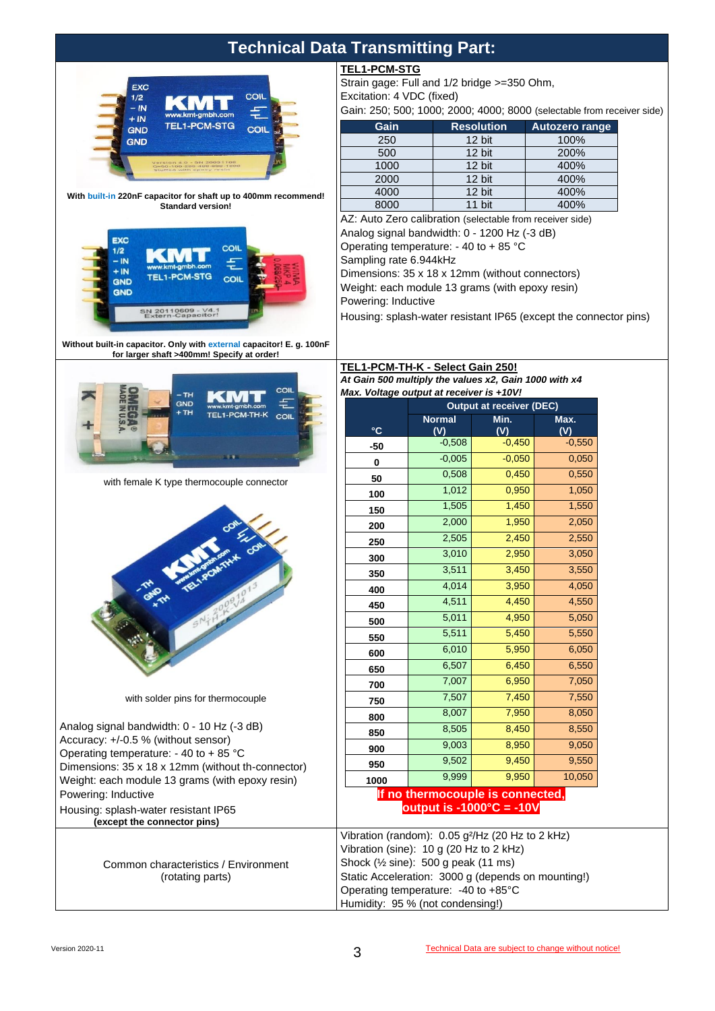| <b>Technical Data Transmitting Part:</b>                                                                                                                                                                                                                                                                                          |                                                                  |                                                                        |                                 |                       |  |
|-----------------------------------------------------------------------------------------------------------------------------------------------------------------------------------------------------------------------------------------------------------------------------------------------------------------------------------|------------------------------------------------------------------|------------------------------------------------------------------------|---------------------------------|-----------------------|--|
|                                                                                                                                                                                                                                                                                                                                   | <b>TEL1-PCM-STG</b>                                              |                                                                        |                                 |                       |  |
| <b>EXC</b>                                                                                                                                                                                                                                                                                                                        | Strain gage: Full and 1/2 bridge >=350 Ohm,                      |                                                                        |                                 |                       |  |
| COIL<br>1/2                                                                                                                                                                                                                                                                                                                       | Excitation: 4 VDC (fixed)                                        |                                                                        |                                 |                       |  |
| $-$ IN<br>w.kmt-gmbh.com<br>$+$ IN                                                                                                                                                                                                                                                                                                |                                                                  | Gain: 250; 500; 1000; 2000; 4000; 8000 (selectable from receiver side) |                                 |                       |  |
| <b>TEL1-PCM-STG</b><br>COIL<br><b>GND</b>                                                                                                                                                                                                                                                                                         | Gain                                                             | <b>Resolution</b>                                                      |                                 | <b>Autozero range</b> |  |
| <b>GND</b>                                                                                                                                                                                                                                                                                                                        | 250                                                              | 12 bit                                                                 |                                 | 100%                  |  |
|                                                                                                                                                                                                                                                                                                                                   | 500                                                              | 12 bit                                                                 |                                 | 200%                  |  |
|                                                                                                                                                                                                                                                                                                                                   | 1000                                                             | 12 bit                                                                 |                                 | 400%                  |  |
|                                                                                                                                                                                                                                                                                                                                   | 2000                                                             | 12 bit                                                                 |                                 | 400%<br>400%          |  |
| With built-in 220nF capacitor for shaft up to 400mm recommend!<br><b>Standard version!</b><br><b>EXC</b><br>COIL<br>1/2                                                                                                                                                                                                           | 4000<br>8000                                                     | 12 bit<br>11 bit                                                       |                                 | 400%                  |  |
|                                                                                                                                                                                                                                                                                                                                   | AZ: Auto Zero calibration (selectable from receiver side)        |                                                                        |                                 |                       |  |
|                                                                                                                                                                                                                                                                                                                                   | Analog signal bandwidth: 0 - 1200 Hz (-3 dB)                     |                                                                        |                                 |                       |  |
|                                                                                                                                                                                                                                                                                                                                   | Operating temperature: - 40 to + 85 °C                           |                                                                        |                                 |                       |  |
| - IN                                                                                                                                                                                                                                                                                                                              | Sampling rate 6.944kHz                                           |                                                                        |                                 |                       |  |
| $+IN$<br><b>TEL1-PCM-STG</b><br><b>COIL</b><br><b>GND</b><br><b>GND</b>                                                                                                                                                                                                                                                           | Dimensions: 35 x 18 x 12mm (without connectors)                  |                                                                        |                                 |                       |  |
|                                                                                                                                                                                                                                                                                                                                   | Weight: each module 13 grams (with epoxy resin)                  |                                                                        |                                 |                       |  |
|                                                                                                                                                                                                                                                                                                                                   | Powering: Inductive                                              |                                                                        |                                 |                       |  |
| SN 20110609 - V4.1<br>Extern-Capacitor!                                                                                                                                                                                                                                                                                           | Housing: splash-water resistant IP65 (except the connector pins) |                                                                        |                                 |                       |  |
|                                                                                                                                                                                                                                                                                                                                   |                                                                  |                                                                        |                                 |                       |  |
| Without built-in capacitor. Only with external capacitor! E. g. 100nF<br>for larger shaft >400mm! Specify at order!                                                                                                                                                                                                               |                                                                  |                                                                        |                                 |                       |  |
|                                                                                                                                                                                                                                                                                                                                   | TEL1-PCM-TH-K - Select Gain 250!                                 |                                                                        |                                 |                       |  |
|                                                                                                                                                                                                                                                                                                                                   | At Gain 500 multiply the values x2, Gain 1000 with x4            |                                                                        |                                 |                       |  |
| COIL<br>– TH                                                                                                                                                                                                                                                                                                                      | Max. Voltage output at receiver is +10V!                         |                                                                        |                                 |                       |  |
| <b>GND</b><br>+ TH<br>TEL1-PCM-TH-K<br>COIL                                                                                                                                                                                                                                                                                       |                                                                  |                                                                        | <b>Output at receiver (DEC)</b> |                       |  |
|                                                                                                                                                                                                                                                                                                                                   | $\mathbf{C}$                                                     | <b>Normal</b><br>(V)                                                   | Min.<br>(V)                     | Max.                  |  |
|                                                                                                                                                                                                                                                                                                                                   |                                                                  | $-0,508$                                                               | $-0,450$                        | (V)<br>$-0,550$       |  |
|                                                                                                                                                                                                                                                                                                                                   | -50                                                              | $-0,005$                                                               | $-0,050$                        | 0,050                 |  |
|                                                                                                                                                                                                                                                                                                                                   | $\bf{0}$                                                         | 0,508                                                                  | 0,450                           | 0,550                 |  |
| with female K type thermocouple connector                                                                                                                                                                                                                                                                                         | 50                                                               | 1,012                                                                  | 0,950                           | 1,050                 |  |
|                                                                                                                                                                                                                                                                                                                                   | 100                                                              | 1,505                                                                  | 1,450                           | 1,550                 |  |
|                                                                                                                                                                                                                                                                                                                                   | 150                                                              |                                                                        |                                 |                       |  |
|                                                                                                                                                                                                                                                                                                                                   | 200                                                              | 2,000                                                                  | 1,950                           | 2,050                 |  |
|                                                                                                                                                                                                                                                                                                                                   | 250                                                              | 2,505                                                                  | 2,450                           | 2,550                 |  |
|                                                                                                                                                                                                                                                                                                                                   |                                                                  |                                                                        |                                 |                       |  |
|                                                                                                                                                                                                                                                                                                                                   | 300                                                              | 3,010                                                                  | 2,950                           | 3,050                 |  |
|                                                                                                                                                                                                                                                                                                                                   | 350                                                              | 3,511                                                                  | 3,450                           | 3,550                 |  |
|                                                                                                                                                                                                                                                                                                                                   | 400                                                              | 4,014                                                                  | 3,950                           | 4,050                 |  |
|                                                                                                                                                                                                                                                                                                                                   | 450                                                              | 4,511                                                                  | 4,450                           | 4,550                 |  |
| <b>TO BEFORE PROPERTY</b>                                                                                                                                                                                                                                                                                                         |                                                                  | 5,011                                                                  | 4,950                           | 5,050                 |  |
|                                                                                                                                                                                                                                                                                                                                   | 500                                                              | 5,511                                                                  | 5,450                           | 5,550                 |  |
|                                                                                                                                                                                                                                                                                                                                   | 550                                                              | 6,010                                                                  | 5,950                           | 6,050                 |  |
|                                                                                                                                                                                                                                                                                                                                   | 600                                                              | 6,507                                                                  | 6,450                           | 6,550                 |  |
|                                                                                                                                                                                                                                                                                                                                   | 650                                                              |                                                                        | 6,950                           | 7,050                 |  |
|                                                                                                                                                                                                                                                                                                                                   | 700                                                              | 7,007                                                                  |                                 |                       |  |
| with solder pins for thermocouple                                                                                                                                                                                                                                                                                                 | 750                                                              | 7,507                                                                  | 7,450                           | 7,550                 |  |
|                                                                                                                                                                                                                                                                                                                                   | 800                                                              | 8,007                                                                  | 7,950                           | 8,050                 |  |
|                                                                                                                                                                                                                                                                                                                                   | 850                                                              | 8,505                                                                  | 8,450                           | 8,550                 |  |
|                                                                                                                                                                                                                                                                                                                                   | 900                                                              | 9,003                                                                  | 8,950                           | 9,050                 |  |
|                                                                                                                                                                                                                                                                                                                                   | 950                                                              | 9,502                                                                  | 9,450                           | 9,550                 |  |
|                                                                                                                                                                                                                                                                                                                                   | 1000                                                             | 9,999                                                                  | 9,950                           | 10,050                |  |
|                                                                                                                                                                                                                                                                                                                                   |                                                                  | If no thermocouple is connected,                                       |                                 |                       |  |
| Analog signal bandwidth: 0 - 10 Hz (-3 dB)<br>Accuracy: +/-0.5 % (without sensor)<br>Operating temperature: - 40 to + 85 °C<br>Dimensions: 35 x 18 x 12mm (without th-connector)<br>Weight: each module 13 grams (with epoxy resin)<br>Powering: Inductive<br>Housing: splash-water resistant IP65<br>(except the connector pins) |                                                                  | output is -1000 $^{\circ}$ C = -10V                                    |                                 |                       |  |

Common characteristics / Environment (rotating parts)

Shock (½ sine): 500 g peak (11 ms)

Operating temperature: -40 to +85°C Humidity: 95 % (not condensing!)

Static Acceleration: 3000 g (depends on mounting!)